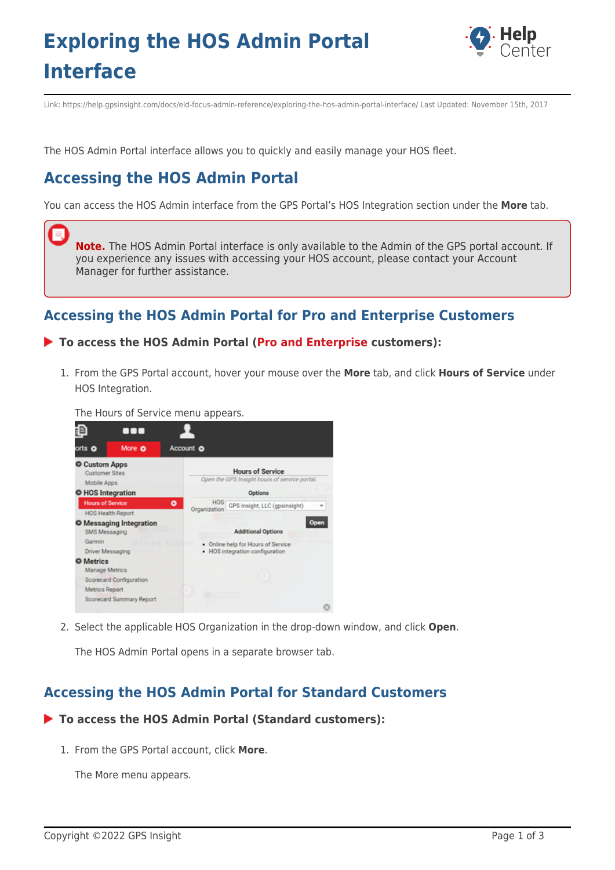# **Exploring the HOS Admin Portal Interface**



Link: https://help.gpsinsight.com/docs/eld-focus-admin-reference/exploring-the-hos-admin-portal-interface/ Last Updated: November 15th, 2017

The HOS Admin Portal interface allows you to quickly and easily manage your HOS fleet.

## **Accessing the HOS Admin Portal**

You can access the HOS Admin interface from the GPS Portal's HOS Integration section under the **More** tab.

**Note.** The HOS Admin Portal interface is only available to the Admin of the GPS portal account. If you experience any issues with accessing your HOS account, please contact your Account Manager for further assistance.

### **Accessing the HOS Admin Portal for Pro and Enterprise Customers**

#### **To access the HOS Admin Portal ([Pro and Enterprise](https://help.gpsinsight.com/looking-to-upgrade/) customers):**

1. From the GPS Portal account, hover your mouse over the **More** tab, and click **Hours of Service** under HOS Integration.

The Hours of Service menu appears.



2. Select the applicable HOS Organization in the drop-down window, and click **Open**.

The HOS Admin Portal opens in a separate browser tab.

### **Accessing the HOS Admin Portal for Standard Customers**

#### **To access the HOS Admin Portal (Standard customers):**

1. From the GPS Portal account, click **More**.

The More menu appears.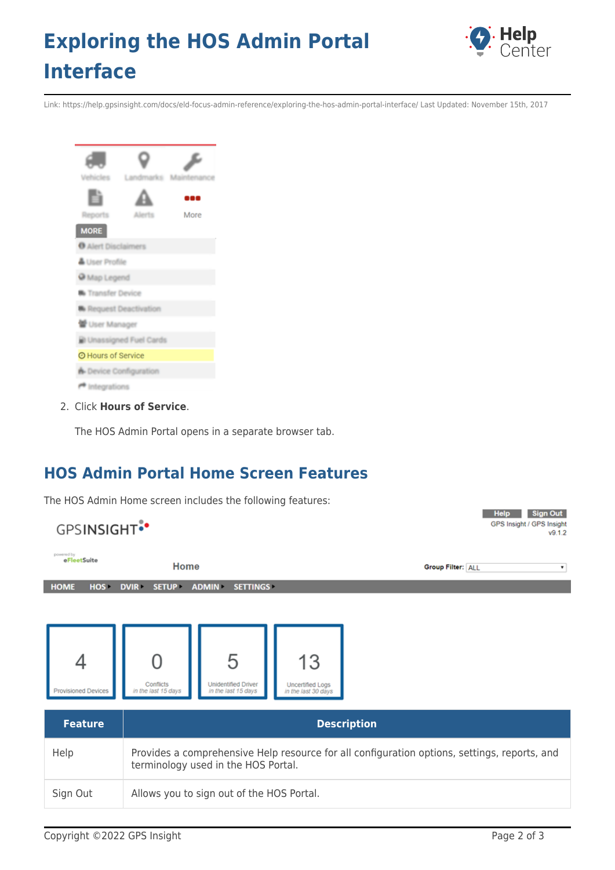# **Exploring the HOS Admin Portal Interface**



Link: https://help.gpsinsight.com/docs/eld-focus-admin-reference/exploring-the-hos-admin-portal-interface/ Last Updated: November 15th, 2017



2. Click **Hours of Service**.

The HOS Admin Portal opens in a separate browser tab.

### **HOS Admin Portal Home Screen Features**

The HOS Admin Home screen includes the following features:

| <b>Sign Out</b><br><b>Help</b><br>GPS Insight / GPS Insight<br><b>GPSINSIGHT</b> <sup>*</sup> |                                                                                                                                     |                                                        |                                                      |                                                |  |
|-----------------------------------------------------------------------------------------------|-------------------------------------------------------------------------------------------------------------------------------------|--------------------------------------------------------|------------------------------------------------------|------------------------------------------------|--|
| powered by<br>eFleetSuite                                                                     | Home                                                                                                                                |                                                        |                                                      | <b>Group Filter: ALL</b><br>$\pmb{\mathrm{v}}$ |  |
| HOME<br>HOS-                                                                                  | <b>DVIR</b><br><b>SETUP</b>                                                                                                         | <b>ADMIN</b><br><b>SETTINGS</b>                        |                                                      |                                                |  |
| <b>Provisioned Devices</b>                                                                    | Conflicts<br>in the last 15 days                                                                                                    | 5<br><b>Unidentified Driver</b><br>in the last 15 days | 13<br><b>Uncertified Logs</b><br>in the last 30 days |                                                |  |
| <b>Feature</b>                                                                                | <b>Description</b>                                                                                                                  |                                                        |                                                      |                                                |  |
| Help                                                                                          | Provides a comprehensive Help resource for all configuration options, settings, reports, and<br>terminology used in the HOS Portal. |                                                        |                                                      |                                                |  |
| Sign Out                                                                                      | Allows you to sign out of the HOS Portal.                                                                                           |                                                        |                                                      |                                                |  |